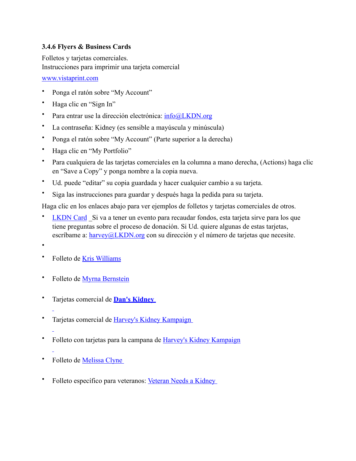## **3.4.6 Flyers & Business Cards**

Folletos y tarjetas comerciales. Instrucciones para imprimir una tarjeta comercial

## www.vistaprint.com

- Ponga el ratón sobre "My Account"
- Haga clic en "Sign In"
- Para entrar use la dirección electrónica: info@LKDN.org
- La contraseña: Kidney (es sensible a mayúscula y minúscula)
- Ponga el ratón sobre "My Account" (Parte superior a la derecha)
- Haga clic en "My Portfolio"
- Para cualquiera de las tarjetas comerciales en la columna a mano derecha, (Actions) haga clic en "Save a Copy" y ponga nombre a la copia nueva.
- Ud. puede "editar" su copia guardada y hacer cualquier cambio a su tarjeta.
- Siga las instrucciones para guardar y después haga la pedida para su tarjeta.

Haga clic en los enlaces abajo para ver ejemplos de folletos y tarjetas comerciales de otros.

- **LKDN Card** Si va a tener un evento para recaudar fondos, esta tarjeta sirve para los que tiene preguntas sobre el proceso de donación. Si Ud. quiere algunas de estas tarjetas, escríbame a:  $harrow@LKDN.org$  con su dirección y el número de tarjetas que necesite.
- •
- Folleto de Kris Williams
- Folleto de Myrna Bernstein
- Tarjetas comercial de **Dan's Kidney**
- Tarjetas comercial de Harvey's Kidney Kampaign
- 
- Folleto con tarjetas para la campana de Harvey's Kidney Kampaign
- 
- Folleto de Melissa Clyne
- Folleto específico para veteranos: Veteran Needs a Kidney